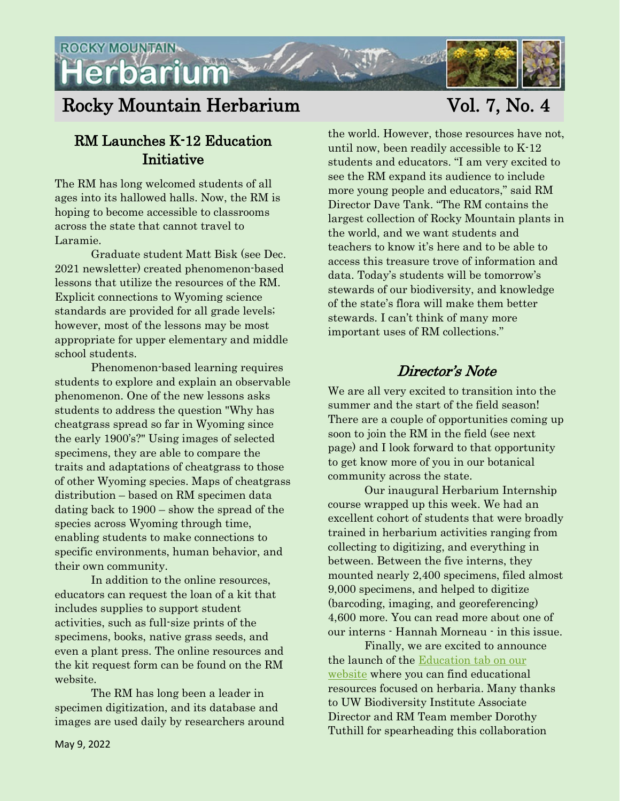

# Rocky Mountain Herbarium Vol. 7, No. 4

## RM Launches K-12 Education Initiative

The RM has long welcomed students of all ages into its hallowed halls. Now, the RM is hoping to become accessible to classrooms across the state that cannot travel to Laramie.

Graduate student Matt Bisk (see Dec. 2021 newsletter) created phenomenon-based lessons that utilize the resources of the RM. Explicit connections to Wyoming science standards are provided for all grade levels; however, most of the lessons may be most appropriate for upper elementary and middle school students.

Phenomenon-based learning requires students to explore and explain an observable phenomenon. One of the new lessons asks students to address the question "Why has cheatgrass spread so far in Wyoming since the early 1900's?" Using images of selected specimens, they are able to compare the traits and adaptations of cheatgrass to those of other Wyoming species. Maps of cheatgrass distribution – based on RM specimen data dating back to 1900 – show the spread of the species across Wyoming through time, enabling students to make connections to specific environments, human behavior, and their own community.

In addition to the online resources, educators can request the loan of a kit that includes supplies to support student activities, such as full-size prints of the specimens, books, native grass seeds, and even a plant press. The online resources and the kit request form can be found on the RM website.

The RM has long been a leader in specimen digitization, and its database and images are used daily by researchers around

the world. However, those resources have not, until now, been readily accessible to K-12 students and educators. "I am very excited to see the RM expand its audience to include more young people and educators," said RM Director Dave Tank. "The RM contains the largest collection of Rocky Mountain plants in the world, and we want students and teachers to know it's here and to be able to access this treasure trove of information and data. Today's students will be tomorrow's stewards of our biodiversity, and knowledge of the state's flora will make them better stewards. I can't think of many more important uses of RM collections."

## Director's Note

We are all very excited to transition into the summer and the start of the field season! There are a couple of opportunities coming up soon to join the RM in the field (see next page) and I look forward to that opportunity to get know more of you in our botanical community across the state.

Our inaugural Herbarium Internship course wrapped up this week. We had an excellent cohort of students that were broadly trained in herbarium activities ranging from collecting to digitizing, and everything in between. Between the five interns, they mounted nearly 2,400 specimens, filed almost 9,000 specimens, and helped to digitize (barcoding, imaging, and georeferencing) 4,600 more. You can read more about one of our interns - Hannah Morneau - in this issue.

Finally, we are excited to announce the launch of the [Education tab on our](https://www.rockymountainherbarium.org/index.php/education)  [website](https://www.rockymountainherbarium.org/index.php/education) where you can find educational resources focused on herbaria. Many thanks to UW Biodiversity Institute Associate Director and RM Team member Dorothy Tuthill for spearheading this collaboration